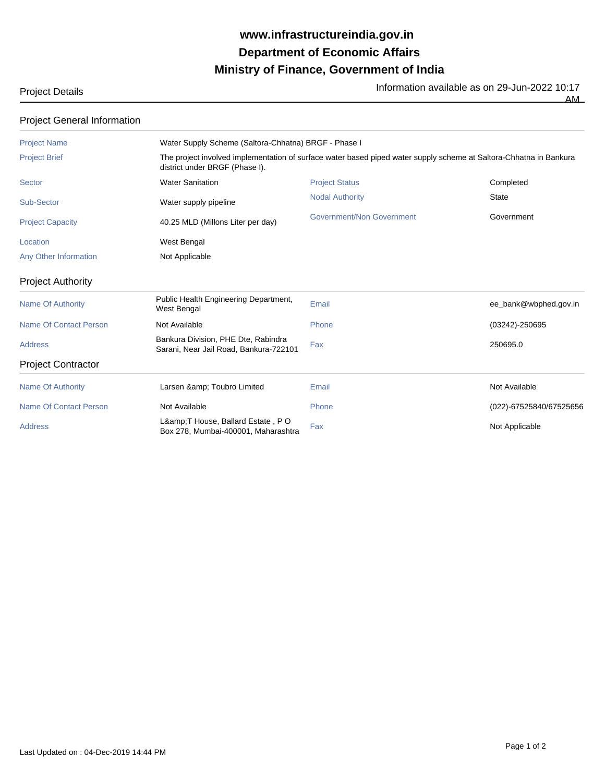## **Ministry of Finance, Government of India Department of Economic Affairs www.infrastructureindia.gov.in**

Project Details **Information available as on 29-Jun-2022 10:17** 

| <b>Project General Information</b> |                                                                                                                                                      |                           |                         |  |
|------------------------------------|------------------------------------------------------------------------------------------------------------------------------------------------------|---------------------------|-------------------------|--|
| <b>Project Name</b>                | Water Supply Scheme (Saltora-Chhatna) BRGF - Phase I                                                                                                 |                           |                         |  |
| <b>Project Brief</b>               | The project involved implementation of surface water based piped water supply scheme at Saltora-Chhatna in Bankura<br>district under BRGF (Phase I). |                           |                         |  |
| Sector                             | <b>Water Sanitation</b>                                                                                                                              | <b>Project Status</b>     | Completed               |  |
| Sub-Sector                         | Water supply pipeline                                                                                                                                | <b>Nodal Authority</b>    | <b>State</b>            |  |
| <b>Project Capacity</b>            | 40.25 MLD (Millons Liter per day)                                                                                                                    | Government/Non Government | Government              |  |
| Location                           | <b>West Bengal</b>                                                                                                                                   |                           |                         |  |
| Any Other Information              | Not Applicable                                                                                                                                       |                           |                         |  |
| <b>Project Authority</b>           |                                                                                                                                                      |                           |                         |  |
| <b>Name Of Authority</b>           | Public Health Engineering Department,<br>West Bengal                                                                                                 | Email                     | ee_bank@wbphed.gov.in   |  |
| Name Of Contact Person             | Not Available                                                                                                                                        | Phone                     | (03242)-250695          |  |
| <b>Address</b>                     | Bankura Division, PHE Dte, Rabindra<br>Sarani, Near Jail Road, Bankura-722101                                                                        | Fax                       | 250695.0                |  |
| <b>Project Contractor</b>          |                                                                                                                                                      |                           |                         |  |
| <b>Name Of Authority</b>           | Larsen & Toubro Limited                                                                                                                              | Email                     | Not Available           |  |
| <b>Name Of Contact Person</b>      | Not Available                                                                                                                                        | Phone                     | (022)-67525840/67525656 |  |
| <b>Address</b>                     | L& T House, Ballard Estate, PO<br>Box 278, Mumbai-400001, Maharashtra                                                                                | Fax                       | Not Applicable          |  |

**AM**